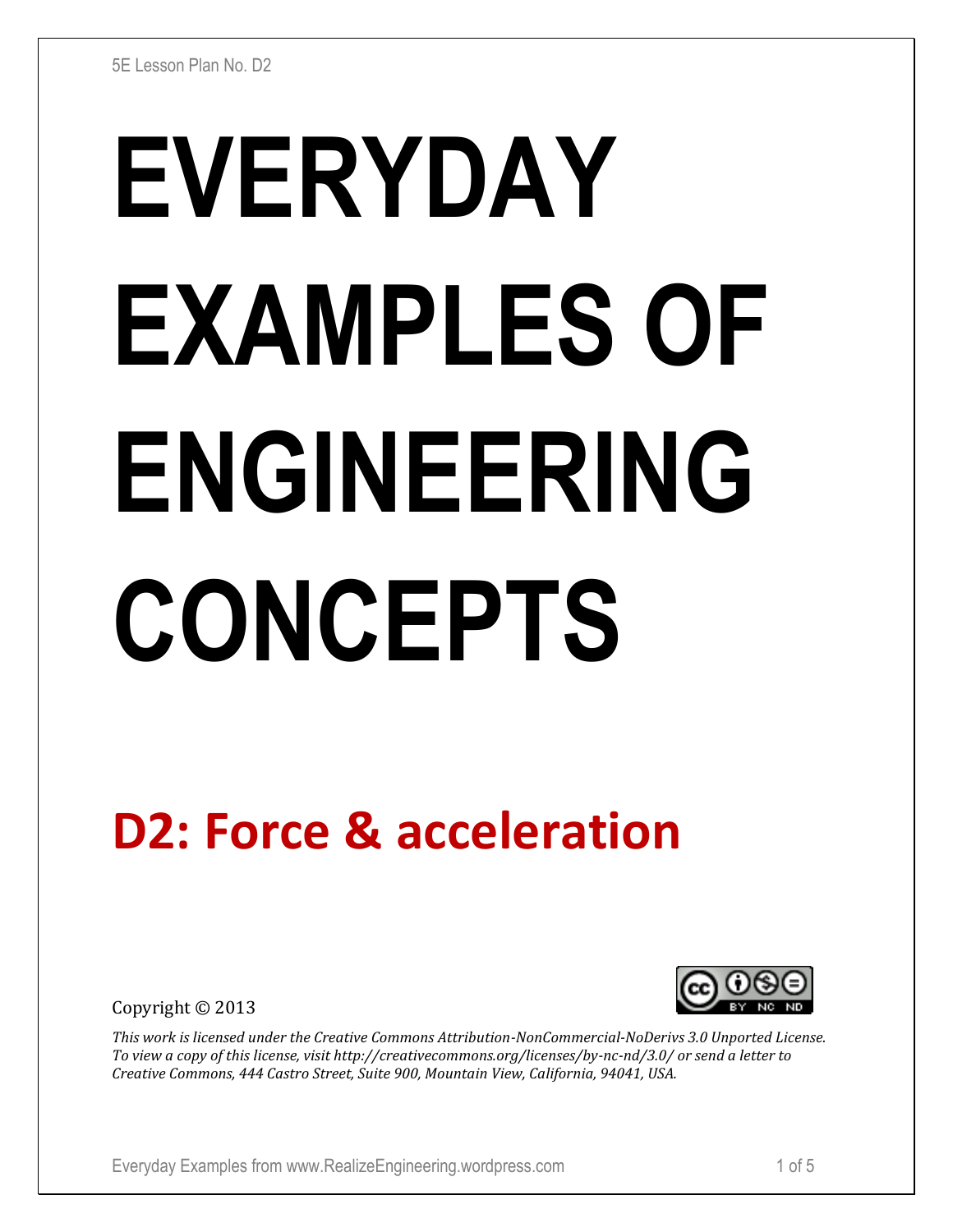# **EVERYDAY EXAMPLES OF ENGINEERING CONCEPTS**

# **D2: Force & acceleration**

Copyright © 2013



*This work is licensed under the Creative Commons Attribution-NonCommercial-NoDerivs 3.0 Unported License. To view a copy of this license, visit http://creativecommons.org/licenses/by-nc-nd/3.0/ or send a letter to Creative Commons, 444 Castro Street, Suite 900, Mountain View, California, 94041, USA.*

Everyday Examples from www.RealizeEngineering.wordpress.com 1 of 5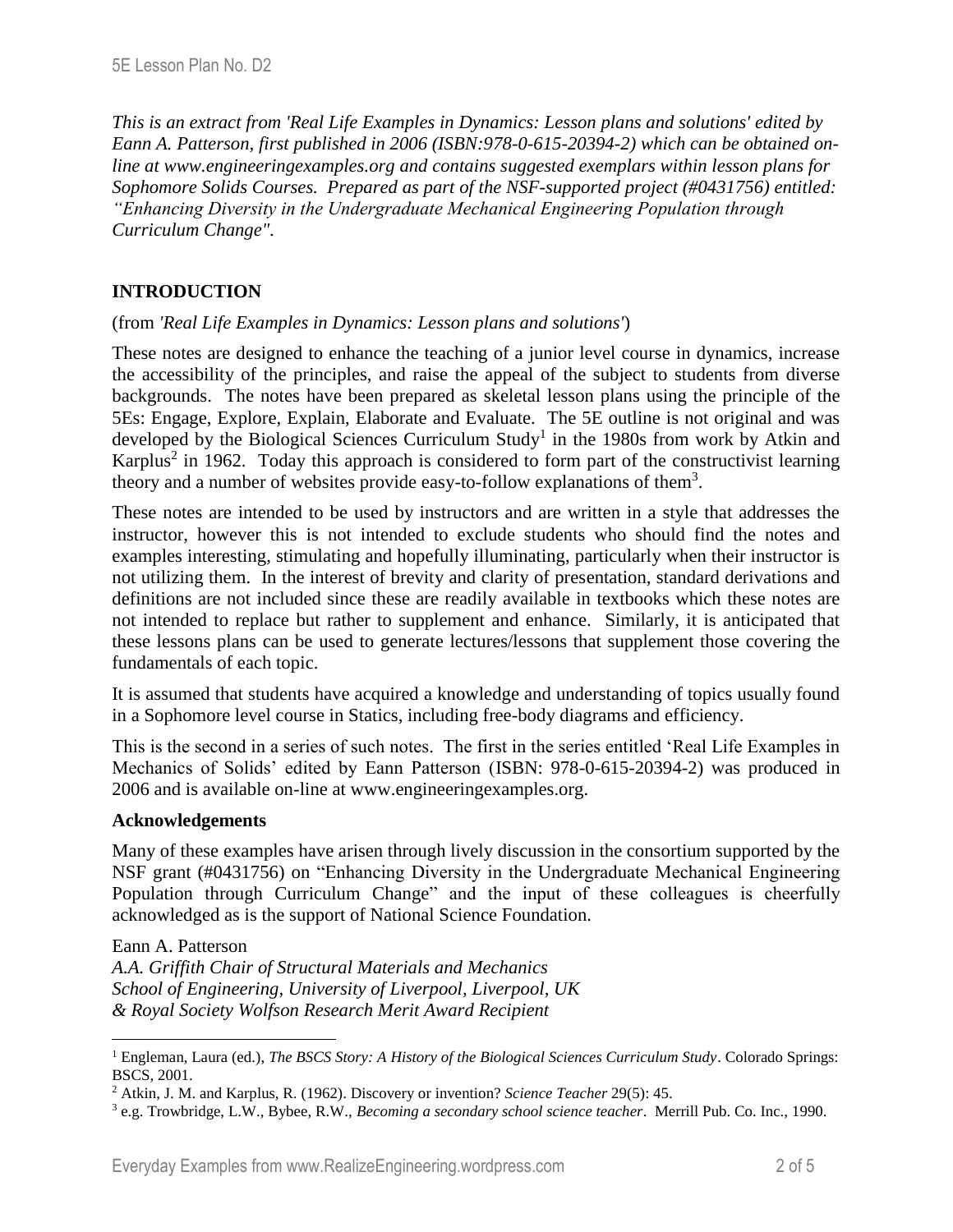*This is an extract from 'Real Life Examples in Dynamics: Lesson plans and solutions' edited by Eann A. Patterson, first published in 2006 (ISBN:978-0-615-20394-2) which can be obtained online at www.engineeringexamples.org and contains suggested exemplars within lesson plans for Sophomore Solids Courses. Prepared as part of the NSF-supported project (#0431756) entitled: "Enhancing Diversity in the Undergraduate Mechanical Engineering Population through Curriculum Change".* 

# **INTRODUCTION**

### (from *'Real Life Examples in Dynamics: Lesson plans and solutions'*)

These notes are designed to enhance the teaching of a junior level course in dynamics, increase the accessibility of the principles, and raise the appeal of the subject to students from diverse backgrounds. The notes have been prepared as skeletal lesson plans using the principle of the 5Es: Engage, Explore, Explain, Elaborate and Evaluate. The 5E outline is not original and was developed by the Biological Sciences Curriculum Study<sup>1</sup> in the 1980s from work by Atkin and Karplus<sup>2</sup> in 1962. Today this approach is considered to form part of the constructivist learning theory and a number of websites provide easy-to-follow explanations of them<sup>3</sup>.

These notes are intended to be used by instructors and are written in a style that addresses the instructor, however this is not intended to exclude students who should find the notes and examples interesting, stimulating and hopefully illuminating, particularly when their instructor is not utilizing them. In the interest of brevity and clarity of presentation, standard derivations and definitions are not included since these are readily available in textbooks which these notes are not intended to replace but rather to supplement and enhance. Similarly, it is anticipated that these lessons plans can be used to generate lectures/lessons that supplement those covering the fundamentals of each topic.

It is assumed that students have acquired a knowledge and understanding of topics usually found in a Sophomore level course in Statics, including free-body diagrams and efficiency.

This is the second in a series of such notes. The first in the series entitled 'Real Life Examples in Mechanics of Solids' edited by Eann Patterson (ISBN: 978-0-615-20394-2) was produced in 2006 and is available on-line at www.engineeringexamples.org.

### **Acknowledgements**

Many of these examples have arisen through lively discussion in the consortium supported by the NSF grant (#0431756) on "Enhancing Diversity in the Undergraduate Mechanical Engineering Population through Curriculum Change" and the input of these colleagues is cheerfully acknowledged as is the support of National Science Foundation.

Eann A. Patterson

 $\overline{a}$ 

*A.A. Griffith Chair of Structural Materials and Mechanics School of Engineering, University of Liverpool, Liverpool, UK & Royal Society Wolfson Research Merit Award Recipient*

<sup>1</sup> Engleman, Laura (ed.), *The BSCS Story: A History of the Biological Sciences Curriculum Study*. Colorado Springs: BSCS, 2001.

<sup>2</sup> Atkin, J. M. and Karplus, R. (1962). Discovery or invention? *Science Teacher* 29(5): 45.

<sup>3</sup> e.g. Trowbridge, L.W., Bybee, R.W., *Becoming a secondary school science teacher*. Merrill Pub. Co. Inc., 1990.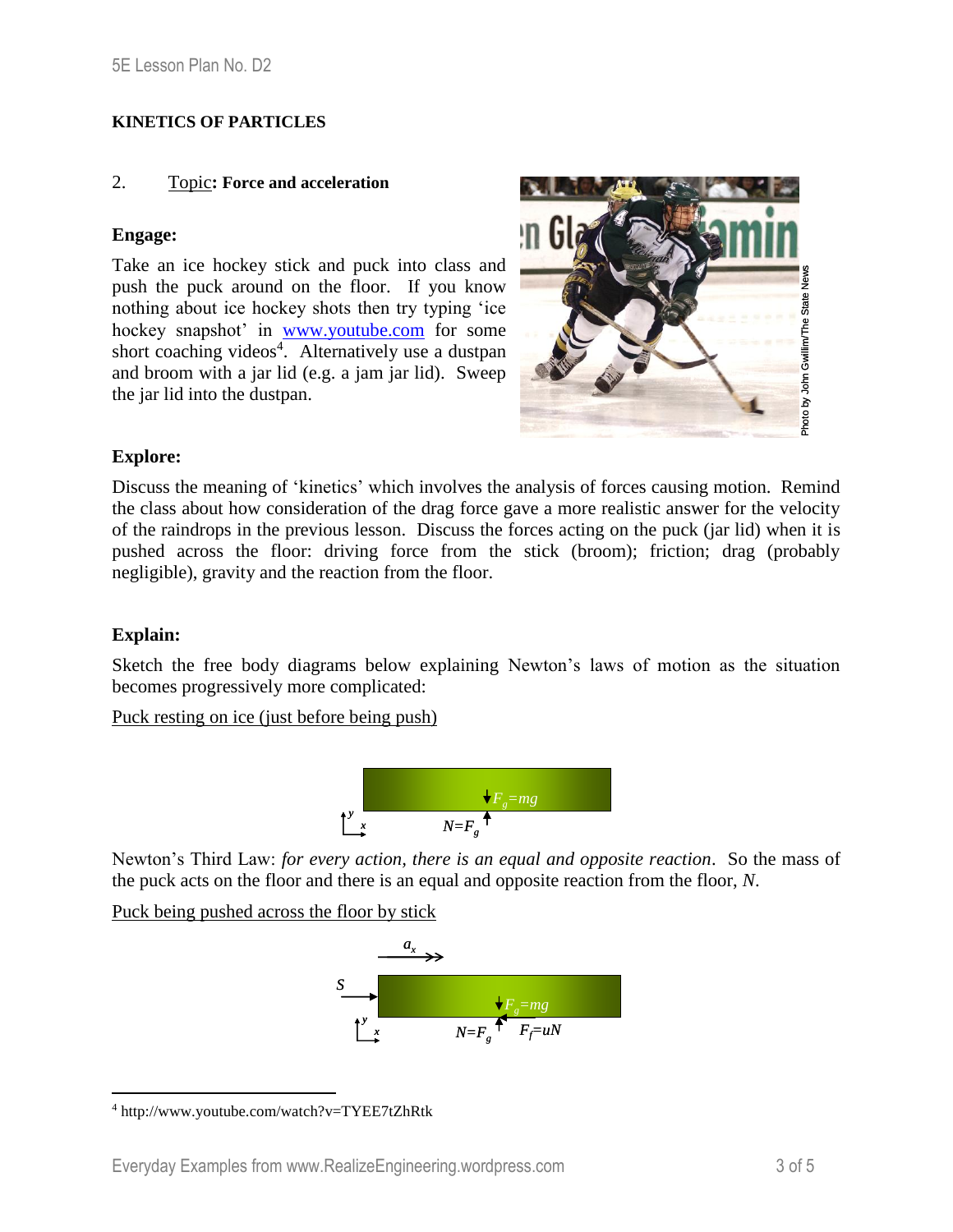### **KINETICS OF PARTICLES**

### 2. Topic**: Force and acceleration**

### **Engage:**

Take an ice hockey stick and puck into class and push the puck around on the floor. If you know nothing about ice hockey shots then try typing 'ice hockey snapshot' in [www.youtube.com](http://www.youtube.com/) for some short coaching videos<sup>4</sup>. Alternatively use a dustpan and broom with a jar lid (e.g. a jam jar lid). Sweep the jar lid into the dustpan.



### **Explore:**

Discuss the meaning of 'kinetics' which involves the analysis of forces causing motion. Remind the class about how consideration of the drag force gave a more realistic answer for the velocity of the raindrops in the previous lesson. Discuss the forces acting on the puck (jar lid) when it is pushed across the floor: driving force from the stick (broom); friction; drag (probably negligible), gravity and the reaction from the floor.

### **Explain:**

 $\overline{a}$ 

Sketch the free body diagrams below explaining Newton's laws of motion as the situation becomes progressively more complicated:

Puck resting on ice (just before being push)



Newton's Third Law: *for every action, there is an equal and opposite reaction*. So the mass of the puck acts on the floor and there is an equal and opposite reaction from the floor, *N*.

Puck being pushed across the floor by stick



<sup>4</sup> http://www.youtube.com/watch?v=TYEE7tZhRtk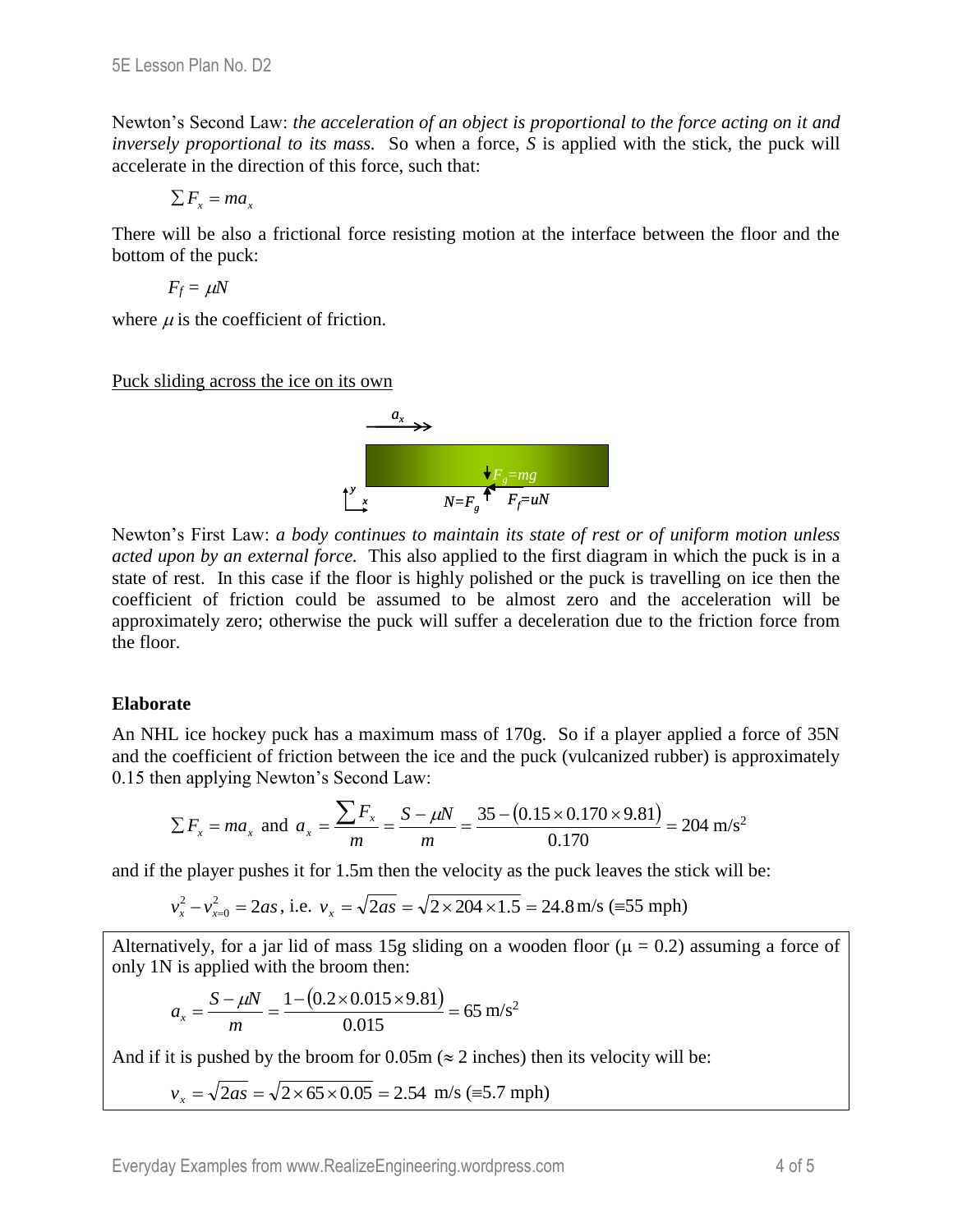Newton's Second Law: *the acceleration of an object is proportional to the force acting on it and inversely proportional to its mass.* So when a force, *S* is applied with the stick, the puck will accelerate in the direction of this force, such that:

$$
\sum F_x = ma_x
$$

There will be also a frictional force resisting motion at the interface between the floor and the bottom of the puck:

 $F_f = \mu N$ 

where  $\mu$  is the coefficient of friction.

Puck sliding across the ice on its own



Newton's First Law: *a body continues to maintain its state of rest or of uniform motion unless acted upon by an external force.* This also applied to the first diagram in which the puck is in a state of rest. In this case if the floor is highly polished or the puck is travelling on ice then the coefficient of friction could be assumed to be almost zero and the acceleration will be approximately zero; otherwise the puck will suffer a deceleration due to the friction force from the floor.

### **Elaborate**

An NHL ice hockey puck has a maximum mass of 170g. So if a player applied a force of 35N and the coefficient of friction between the ice and the puck (vulcanized rubber) is approximately 0.15 then applying Newton's Second Law:

$$
\sum F_x = ma_x
$$
 and  $a_x = \frac{\sum F_x}{m} = \frac{S - \mu N}{m} = \frac{35 - (0.15 \times 0.170 \times 9.81)}{0.170} = 204$  m/s<sup>2</sup>

and if the player pushes it for 1.5m then the velocity as the puck leaves the stick will be:

$$
v_x^2 - v_{x=0}^2 = 2as
$$
, i.e.  $v_x = \sqrt{2as} = \sqrt{2 \times 204 \times 1.5} = 24.8$  m/s (=55 mph)

Alternatively, for a jar lid of mass 15g sliding on a wooden floor ( $\mu = 0.2$ ) assuming a force of only 1N is applied with the broom then:

$$
a_x = \frac{S - \mu N}{m} = \frac{1 - (0.2 \times 0.015 \times 9.81)}{0.015} = 65 \text{ m/s}^2
$$

And if it is pushed by the broom for 0.05m ( $\approx$  2 inches) then its velocity will be:

$$
v_x = \sqrt{2as} = \sqrt{2 \times 65 \times 0.05} = 2.54
$$
 m/s (=5.7 mph)